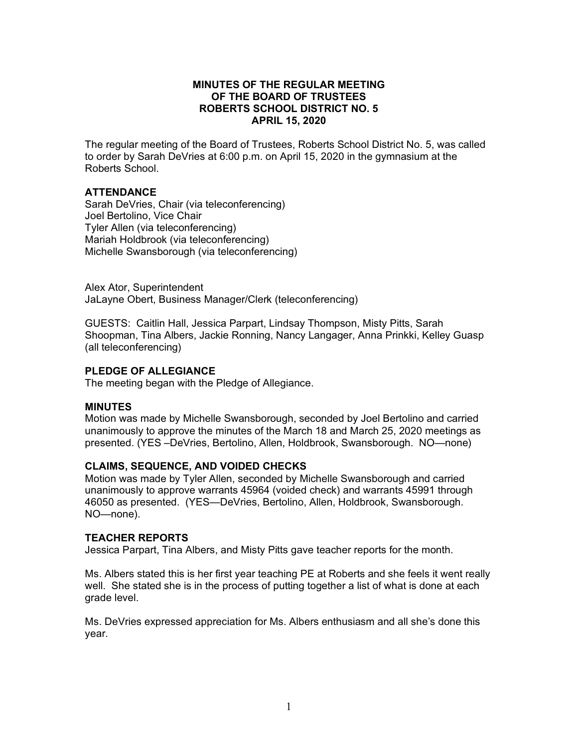### **MINUTES OF THE REGULAR MEETING OF THE BOARD OF TRUSTEES ROBERTS SCHOOL DISTRICT NO. 5 APRIL 15, 2020**

The regular meeting of the Board of Trustees, Roberts School District No. 5, was called to order by Sarah DeVries at 6:00 p.m. on April 15, 2020 in the gymnasium at the Roberts School.

# **ATTENDANCE**

Sarah DeVries, Chair (via teleconferencing) Joel Bertolino, Vice Chair Tyler Allen (via teleconferencing) Mariah Holdbrook (via teleconferencing) Michelle Swansborough (via teleconferencing)

Alex Ator, Superintendent JaLayne Obert, Business Manager/Clerk (teleconferencing)

GUESTS: Caitlin Hall, Jessica Parpart, Lindsay Thompson, Misty Pitts, Sarah Shoopman, Tina Albers, Jackie Ronning, Nancy Langager, Anna Prinkki, Kelley Guasp (all teleconferencing)

# **PLEDGE OF ALLEGIANCE**

The meeting began with the Pledge of Allegiance.

# **MINUTES**

Motion was made by Michelle Swansborough, seconded by Joel Bertolino and carried unanimously to approve the minutes of the March 18 and March 25, 2020 meetings as presented. (YES –DeVries, Bertolino, Allen, Holdbrook, Swansborough. NO—none)

# **CLAIMS, SEQUENCE, AND VOIDED CHECKS**

Motion was made by Tyler Allen, seconded by Michelle Swansborough and carried unanimously to approve warrants 45964 (voided check) and warrants 45991 through 46050 as presented. (YES—DeVries, Bertolino, Allen, Holdbrook, Swansborough. NO—none).

#### **TEACHER REPORTS**

Jessica Parpart, Tina Albers, and Misty Pitts gave teacher reports for the month.

Ms. Albers stated this is her first year teaching PE at Roberts and she feels it went really well. She stated she is in the process of putting together a list of what is done at each grade level.

Ms. DeVries expressed appreciation for Ms. Albers enthusiasm and all she's done this year.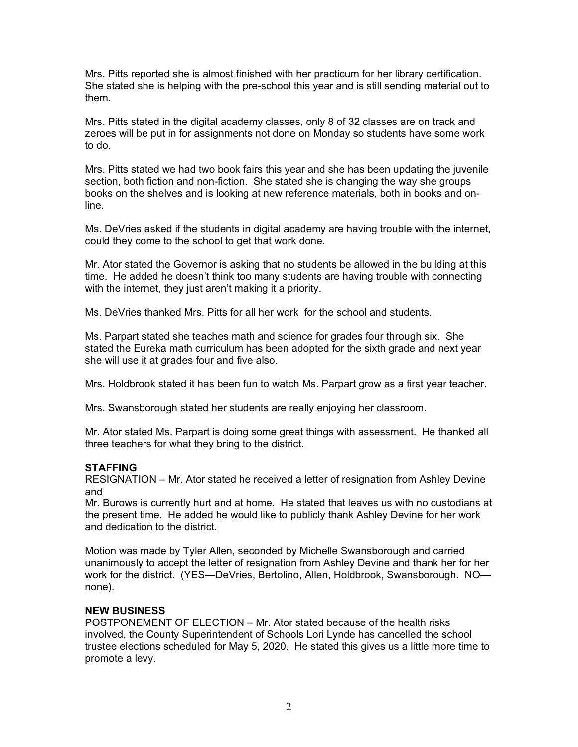Mrs. Pitts reported she is almost finished with her practicum for her library certification. She stated she is helping with the pre-school this year and is still sending material out to them.

Mrs. Pitts stated in the digital academy classes, only 8 of 32 classes are on track and zeroes will be put in for assignments not done on Monday so students have some work to do.

Mrs. Pitts stated we had two book fairs this year and she has been updating the juvenile section, both fiction and non-fiction. She stated she is changing the way she groups books on the shelves and is looking at new reference materials, both in books and online.

Ms. DeVries asked if the students in digital academy are having trouble with the internet, could they come to the school to get that work done.

Mr. Ator stated the Governor is asking that no students be allowed in the building at this time. He added he doesn't think too many students are having trouble with connecting with the internet, they just aren't making it a priority.

Ms. DeVries thanked Mrs. Pitts for all her work for the school and students.

Ms. Parpart stated she teaches math and science for grades four through six. She stated the Eureka math curriculum has been adopted for the sixth grade and next year she will use it at grades four and five also.

Mrs. Holdbrook stated it has been fun to watch Ms. Parpart grow as a first year teacher.

Mrs. Swansborough stated her students are really enjoying her classroom.

Mr. Ator stated Ms. Parpart is doing some great things with assessment. He thanked all three teachers for what they bring to the district.

# **STAFFING**

RESIGNATION – Mr. Ator stated he received a letter of resignation from Ashley Devine and

Mr. Burows is currently hurt and at home. He stated that leaves us with no custodians at the present time. He added he would like to publicly thank Ashley Devine for her work and dedication to the district.

Motion was made by Tyler Allen, seconded by Michelle Swansborough and carried unanimously to accept the letter of resignation from Ashley Devine and thank her for her work for the district. (YES—DeVries, Bertolino, Allen, Holdbrook, Swansborough. NO none).

# **NEW BUSINESS**

POSTPONEMENT OF ELECTION – Mr. Ator stated because of the health risks involved, the County Superintendent of Schools Lori Lynde has cancelled the school trustee elections scheduled for May 5, 2020. He stated this gives us a little more time to promote a levy.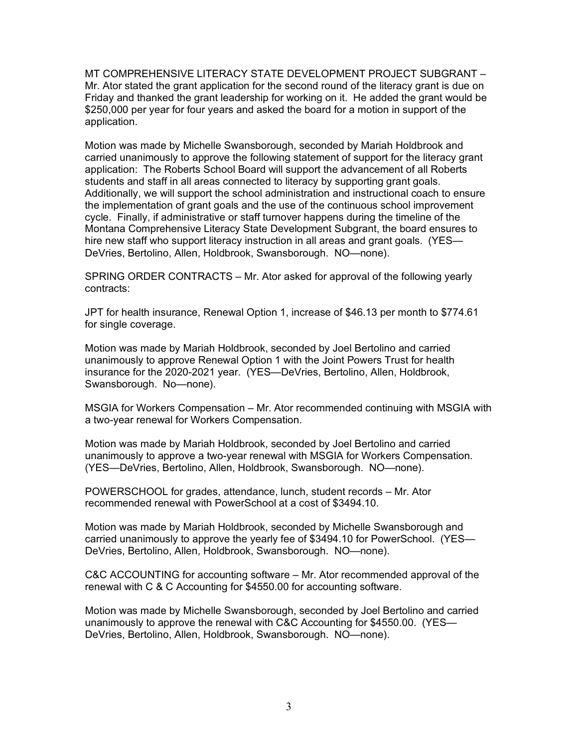MT COMPREHENSIVE LITERACY STATE DEVELOPMENT PROJECT SUBGRANT – Mr. Ator stated the grant application for the second round of the literacy grant is due on Friday and thanked the grant leadership for working on it. He added the grant would be \$250,000 per year for four years and asked the board for a motion in support of the application.

Motion was made by Michelle Swansborough, seconded by Mariah Holdbrook and carried unanimously to approve the following statement of support for the literacy grant application: The Roberts School Board will support the advancement of all Roberts students and staff in all areas connected to literacy by supporting grant goals. Additionally, we will support the school administration and instructional coach to ensure the implementation of grant goals and the use of the continuous school improvement cycle. Finally, if administrative or staff turnover happens during the timeline of the Montana Comprehensive Literacy State Development Subgrant, the board ensures to hire new staff who support literacy instruction in all areas and grant goals. (YES— DeVries, Bertolino, Allen, Holdbrook, Swansborough. NO—none).

SPRING ORDER CONTRACTS – Mr. Ator asked for approval of the following yearly contracts:

JPT for health insurance, Renewal Option 1, increase of \$46.13 per month to \$774.61 for single coverage.

Motion was made by Mariah Holdbrook, seconded by Joel Bertolino and carried unanimously to approve Renewal Option 1 with the Joint Powers Trust for health insurance for the 2020-2021 year. (YES—DeVries, Bertolino, Allen, Holdbrook, Swansborough. No—none).

MSGIA for Workers Compensation – Mr. Ator recommended continuing with MSGIA with a two-year renewal for Workers Compensation.

Motion was made by Mariah Holdbrook, seconded by Joel Bertolino and carried unanimously to approve a two-year renewal with MSGIA for Workers Compensation. (YES—DeVries, Bertolino, Allen, Holdbrook, Swansborough. NO—none).

POWERSCHOOL for grades, attendance, lunch, student records – Mr. Ator recommended renewal with PowerSchool at a cost of \$3494.10.

Motion was made by Mariah Holdbrook, seconded by Michelle Swansborough and carried unanimously to approve the yearly fee of \$3494.10 for PowerSchool. (YES— DeVries, Bertolino, Allen, Holdbrook, Swansborough. NO—none).

C&C ACCOUNTING for accounting software – Mr. Ator recommended approval of the renewal with C & C Accounting for \$4550.00 for accounting software.

Motion was made by Michelle Swansborough, seconded by Joel Bertolino and carried unanimously to approve the renewal with C&C Accounting for \$4550.00. (YES— DeVries, Bertolino, Allen, Holdbrook, Swansborough. NO—none).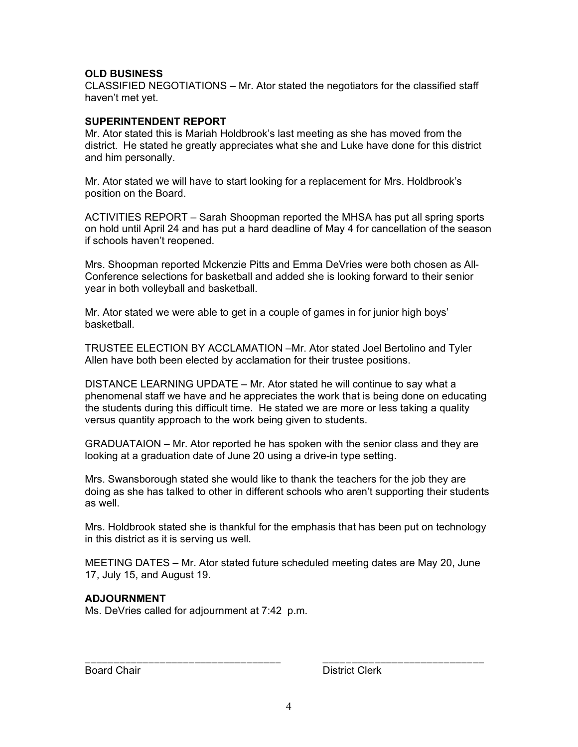# **OLD BUSINESS**

CLASSIFIED NEGOTIATIONS – Mr. Ator stated the negotiators for the classified staff haven't met yet.

### **SUPERINTENDENT REPORT**

Mr. Ator stated this is Mariah Holdbrook's last meeting as she has moved from the district. He stated he greatly appreciates what she and Luke have done for this district and him personally.

Mr. Ator stated we will have to start looking for a replacement for Mrs. Holdbrook's position on the Board.

ACTIVITIES REPORT – Sarah Shoopman reported the MHSA has put all spring sports on hold until April 24 and has put a hard deadline of May 4 for cancellation of the season if schools haven't reopened.

Mrs. Shoopman reported Mckenzie Pitts and Emma DeVries were both chosen as All-Conference selections for basketball and added she is looking forward to their senior year in both volleyball and basketball.

Mr. Ator stated we were able to get in a couple of games in for junior high boys' basketball.

TRUSTEE ELECTION BY ACCLAMATION –Mr. Ator stated Joel Bertolino and Tyler Allen have both been elected by acclamation for their trustee positions.

DISTANCE LEARNING UPDATE – Mr. Ator stated he will continue to say what a phenomenal staff we have and he appreciates the work that is being done on educating the students during this difficult time. He stated we are more or less taking a quality versus quantity approach to the work being given to students.

GRADUATAION – Mr. Ator reported he has spoken with the senior class and they are looking at a graduation date of June 20 using a drive-in type setting.

Mrs. Swansborough stated she would like to thank the teachers for the job they are doing as she has talked to other in different schools who aren't supporting their students as well.

Mrs. Holdbrook stated she is thankful for the emphasis that has been put on technology in this district as it is serving us well.

MEETING DATES – Mr. Ator stated future scheduled meeting dates are May 20, June 17, July 15, and August 19.

#### **ADJOURNMENT**

Ms. DeVries called for adjournment at 7:42 p.m.

Board Chair **District Clerk** 

\_\_\_\_\_\_\_\_\_\_\_\_\_\_\_\_\_\_\_\_\_\_\_\_\_\_\_\_\_\_\_\_\_\_ \_\_\_\_\_\_\_\_\_\_\_\_\_\_\_\_\_\_\_\_\_\_\_\_\_\_\_\_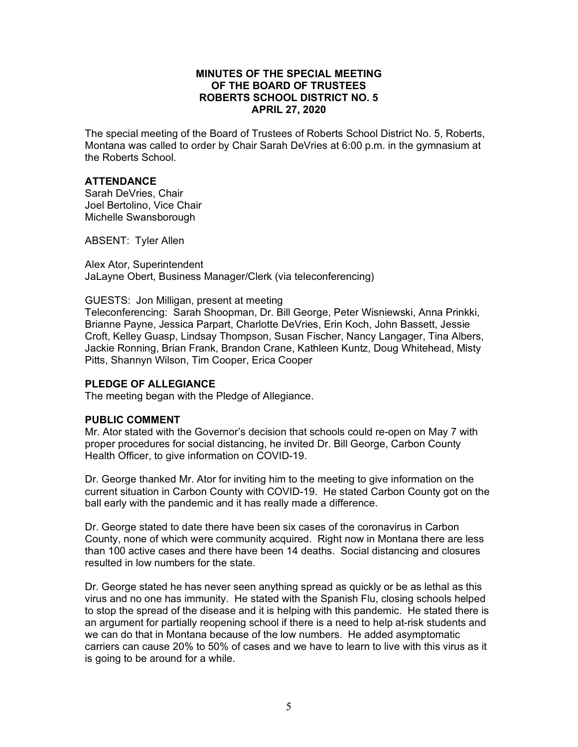### **MINUTES OF THE SPECIAL MEETING OF THE BOARD OF TRUSTEES ROBERTS SCHOOL DISTRICT NO. 5 APRIL 27, 2020**

The special meeting of the Board of Trustees of Roberts School District No. 5, Roberts, Montana was called to order by Chair Sarah DeVries at 6:00 p.m. in the gymnasium at the Roberts School.

#### **ATTENDANCE**

Sarah DeVries, Chair Joel Bertolino, Vice Chair Michelle Swansborough

ABSENT: Tyler Allen

Alex Ator, Superintendent JaLayne Obert, Business Manager/Clerk (via teleconferencing)

GUESTS: Jon Milligan, present at meeting

Teleconferencing: Sarah Shoopman, Dr. Bill George, Peter Wisniewski, Anna Prinkki, Brianne Payne, Jessica Parpart, Charlotte DeVries, Erin Koch, John Bassett, Jessie Croft, Kelley Guasp, Lindsay Thompson, Susan Fischer, Nancy Langager, Tina Albers, Jackie Ronning, Brian Frank, Brandon Crane, Kathleen Kuntz, Doug Whitehead, Misty Pitts, Shannyn Wilson, Tim Cooper, Erica Cooper

#### **PLEDGE OF ALLEGIANCE**

The meeting began with the Pledge of Allegiance.

#### **PUBLIC COMMENT**

Mr. Ator stated with the Governor's decision that schools could re-open on May 7 with proper procedures for social distancing, he invited Dr. Bill George, Carbon County Health Officer, to give information on COVID-19.

Dr. George thanked Mr. Ator for inviting him to the meeting to give information on the current situation in Carbon County with COVID-19. He stated Carbon County got on the ball early with the pandemic and it has really made a difference.

Dr. George stated to date there have been six cases of the coronavirus in Carbon County, none of which were community acquired. Right now in Montana there are less than 100 active cases and there have been 14 deaths. Social distancing and closures resulted in low numbers for the state.

Dr. George stated he has never seen anything spread as quickly or be as lethal as this virus and no one has immunity. He stated with the Spanish Flu, closing schools helped to stop the spread of the disease and it is helping with this pandemic. He stated there is an argument for partially reopening school if there is a need to help at-risk students and we can do that in Montana because of the low numbers. He added asymptomatic carriers can cause 20% to 50% of cases and we have to learn to live with this virus as it is going to be around for a while.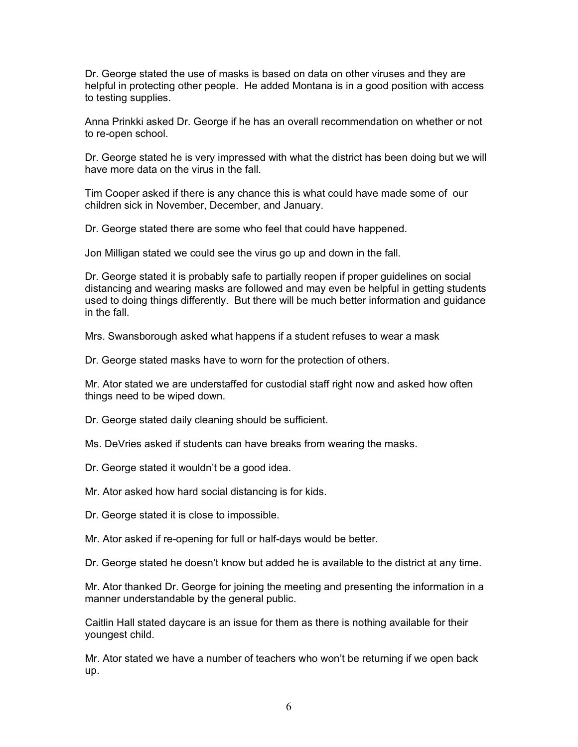Dr. George stated the use of masks is based on data on other viruses and they are helpful in protecting other people. He added Montana is in a good position with access to testing supplies.

Anna Prinkki asked Dr. George if he has an overall recommendation on whether or not to re-open school.

Dr. George stated he is very impressed with what the district has been doing but we will have more data on the virus in the fall.

Tim Cooper asked if there is any chance this is what could have made some of our children sick in November, December, and January.

Dr. George stated there are some who feel that could have happened.

Jon Milligan stated we could see the virus go up and down in the fall.

Dr. George stated it is probably safe to partially reopen if proper guidelines on social distancing and wearing masks are followed and may even be helpful in getting students used to doing things differently. But there will be much better information and guidance in the fall.

Mrs. Swansborough asked what happens if a student refuses to wear a mask

Dr. George stated masks have to worn for the protection of others.

Mr. Ator stated we are understaffed for custodial staff right now and asked how often things need to be wiped down.

Dr. George stated daily cleaning should be sufficient.

Ms. DeVries asked if students can have breaks from wearing the masks.

Dr. George stated it wouldn't be a good idea.

Mr. Ator asked how hard social distancing is for kids.

Dr. George stated it is close to impossible.

Mr. Ator asked if re-opening for full or half-days would be better.

Dr. George stated he doesn't know but added he is available to the district at any time.

Mr. Ator thanked Dr. George for joining the meeting and presenting the information in a manner understandable by the general public.

Caitlin Hall stated daycare is an issue for them as there is nothing available for their youngest child.

Mr. Ator stated we have a number of teachers who won't be returning if we open back up.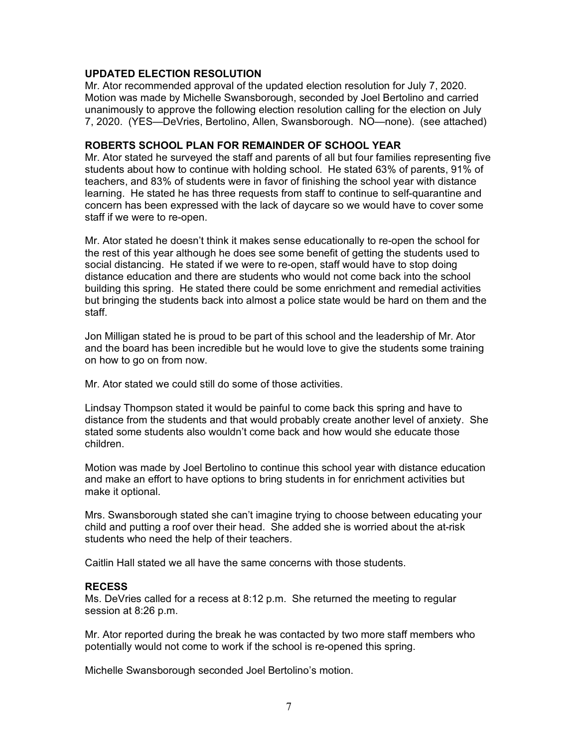# **UPDATED ELECTION RESOLUTION**

Mr. Ator recommended approval of the updated election resolution for July 7, 2020. Motion was made by Michelle Swansborough, seconded by Joel Bertolino and carried unanimously to approve the following election resolution calling for the election on July 7, 2020. (YES—DeVries, Bertolino, Allen, Swansborough. NO—none). (see attached)

### **ROBERTS SCHOOL PLAN FOR REMAINDER OF SCHOOL YEAR**

Mr. Ator stated he surveyed the staff and parents of all but four families representing five students about how to continue with holding school. He stated 63% of parents, 91% of teachers, and 83% of students were in favor of finishing the school year with distance learning. He stated he has three requests from staff to continue to self-quarantine and concern has been expressed with the lack of daycare so we would have to cover some staff if we were to re-open.

Mr. Ator stated he doesn't think it makes sense educationally to re-open the school for the rest of this year although he does see some benefit of getting the students used to social distancing. He stated if we were to re-open, staff would have to stop doing distance education and there are students who would not come back into the school building this spring. He stated there could be some enrichment and remedial activities but bringing the students back into almost a police state would be hard on them and the staff.

Jon Milligan stated he is proud to be part of this school and the leadership of Mr. Ator and the board has been incredible but he would love to give the students some training on how to go on from now.

Mr. Ator stated we could still do some of those activities.

Lindsay Thompson stated it would be painful to come back this spring and have to distance from the students and that would probably create another level of anxiety. She stated some students also wouldn't come back and how would she educate those children.

Motion was made by Joel Bertolino to continue this school year with distance education and make an effort to have options to bring students in for enrichment activities but make it optional.

Mrs. Swansborough stated she can't imagine trying to choose between educating your child and putting a roof over their head. She added she is worried about the at-risk students who need the help of their teachers.

Caitlin Hall stated we all have the same concerns with those students.

#### **RECESS**

Ms. DeVries called for a recess at 8:12 p.m. She returned the meeting to regular session at 8:26 p.m.

Mr. Ator reported during the break he was contacted by two more staff members who potentially would not come to work if the school is re-opened this spring.

Michelle Swansborough seconded Joel Bertolino's motion.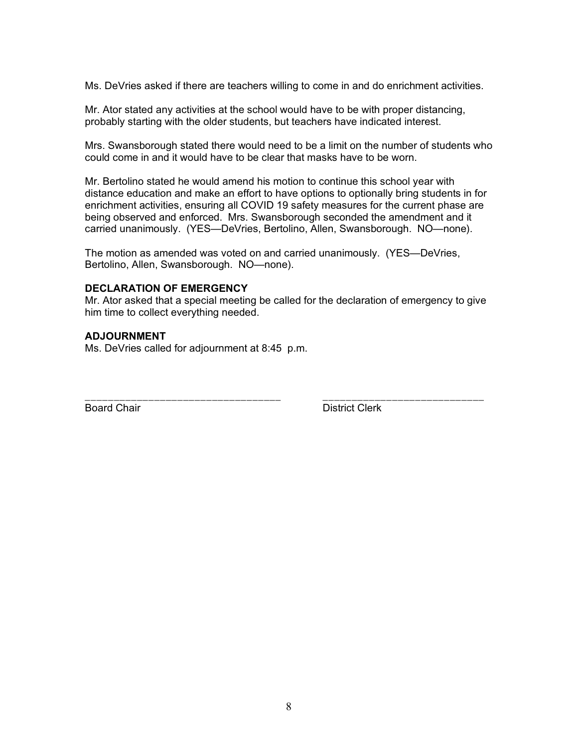Ms. DeVries asked if there are teachers willing to come in and do enrichment activities.

Mr. Ator stated any activities at the school would have to be with proper distancing, probably starting with the older students, but teachers have indicated interest.

Mrs. Swansborough stated there would need to be a limit on the number of students who could come in and it would have to be clear that masks have to be worn.

Mr. Bertolino stated he would amend his motion to continue this school year with distance education and make an effort to have options to optionally bring students in for enrichment activities, ensuring all COVID 19 safety measures for the current phase are being observed and enforced. Mrs. Swansborough seconded the amendment and it carried unanimously. (YES—DeVries, Bertolino, Allen, Swansborough. NO—none).

The motion as amended was voted on and carried unanimously. (YES—DeVries, Bertolino, Allen, Swansborough. NO—none).

## **DECLARATION OF EMERGENCY**

Mr. Ator asked that a special meeting be called for the declaration of emergency to give him time to collect everything needed.

### **ADJOURNMENT**

Ms. DeVries called for adjournment at 8:45 p.m.

\_\_\_\_\_\_\_\_\_\_\_\_\_\_\_\_\_\_\_\_\_\_\_\_\_\_\_\_\_\_\_\_\_\_ \_\_\_\_\_\_\_\_\_\_\_\_\_\_\_\_\_\_\_\_\_\_\_\_\_\_\_\_ Board Chair **District Clerk**